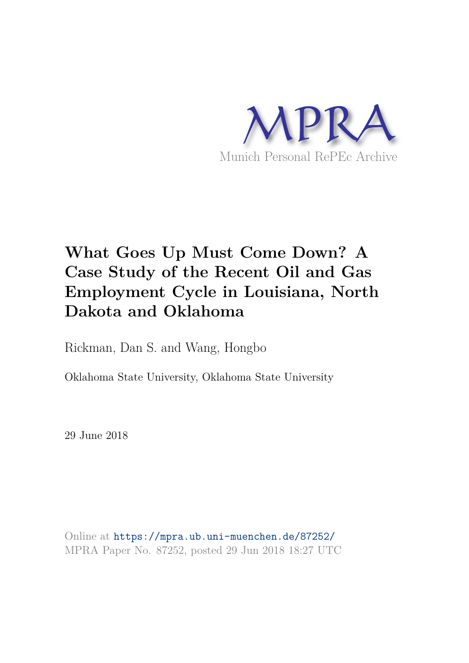

# **What Goes Up Must Come Down? A Case Study of the Recent Oil and Gas Employment Cycle in Louisiana, North Dakota and Oklahoma**

Rickman, Dan S. and Wang, Hongbo

Oklahoma State University, Oklahoma State University

29 June 2018

Online at https://mpra.ub.uni-muenchen.de/87252/ MPRA Paper No. 87252, posted 29 Jun 2018 18:27 UTC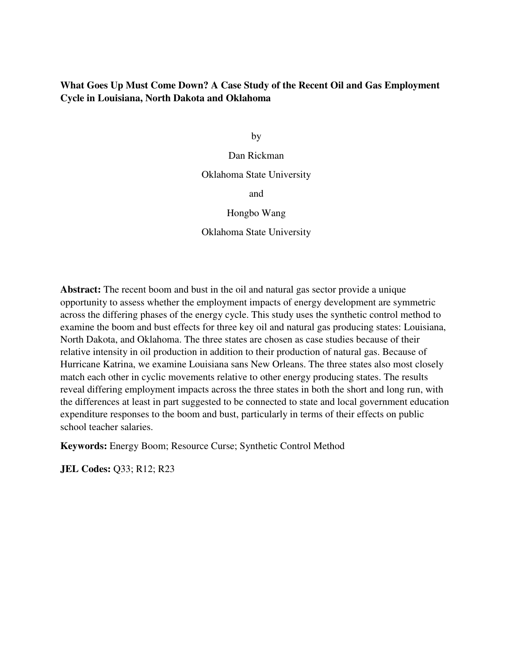# **What Goes Up Must Come Down? A Case Study of the Recent Oil and Gas Employment Cycle in Louisiana, North Dakota and Oklahoma**

by

Dan Rickman Oklahoma State University

and

Hongbo Wang

Oklahoma State University

**Abstract:** The recent boom and bust in the oil and natural gas sector provide a unique opportunity to assess whether the employment impacts of energy development are symmetric across the differing phases of the energy cycle. This study uses the synthetic control method to examine the boom and bust effects for three key oil and natural gas producing states: Louisiana, North Dakota, and Oklahoma. The three states are chosen as case studies because of their relative intensity in oil production in addition to their production of natural gas. Because of Hurricane Katrina, we examine Louisiana sans New Orleans. The three states also most closely match each other in cyclic movements relative to other energy producing states. The results reveal differing employment impacts across the three states in both the short and long run, with the differences at least in part suggested to be connected to state and local government education expenditure responses to the boom and bust, particularly in terms of their effects on public school teacher salaries.

**Keywords:** Energy Boom; Resource Curse; Synthetic Control Method

**JEL Codes:** Q33; R12; R23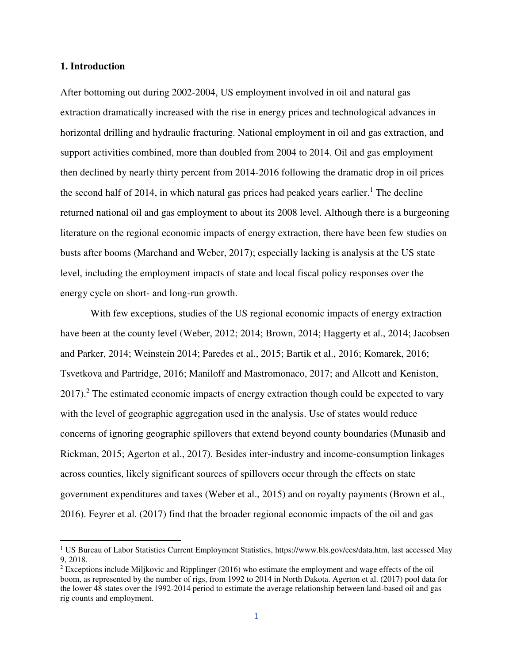#### **1. Introduction**

l

After bottoming out during 2002-2004, US employment involved in oil and natural gas extraction dramatically increased with the rise in energy prices and technological advances in horizontal drilling and hydraulic fracturing. National employment in oil and gas extraction, and support activities combined, more than doubled from 2004 to 2014. Oil and gas employment then declined by nearly thirty percent from 2014-2016 following the dramatic drop in oil prices the second half of 2014, in which natural gas prices had peaked years earlier.<sup>1</sup> The decline returned national oil and gas employment to about its 2008 level. Although there is a burgeoning literature on the regional economic impacts of energy extraction, there have been few studies on busts after booms (Marchand and Weber, 2017); especially lacking is analysis at the US state level, including the employment impacts of state and local fiscal policy responses over the energy cycle on short- and long-run growth.

 With few exceptions, studies of the US regional economic impacts of energy extraction have been at the county level (Weber, 2012; 2014; Brown, 2014; Haggerty et al., 2014; Jacobsen and Parker, 2014; Weinstein 2014; Paredes et al., 2015; Bartik et al., 2016; Komarek, 2016; Tsvetkova and Partridge, 2016; Maniloff and Mastromonaco, 2017; and Allcott and Keniston, 2017).<sup>2</sup> The estimated economic impacts of energy extraction though could be expected to vary with the level of geographic aggregation used in the analysis. Use of states would reduce concerns of ignoring geographic spillovers that extend beyond county boundaries (Munasib and Rickman, 2015; Agerton et al., 2017). Besides inter-industry and income-consumption linkages across counties, likely significant sources of spillovers occur through the effects on state government expenditures and taxes (Weber et al., 2015) and on royalty payments (Brown et al., 2016). Feyrer et al. (2017) find that the broader regional economic impacts of the oil and gas

<sup>1</sup> US Bureau of Labor Statistics Current Employment Statistics, [https://www.bls.gov/ces/data.htm,](https://www.bls.gov/ces/data.htm) last accessed May 9, 2018.

 $2^{2}$  Exceptions include Miljkovic and Ripplinger (2016) who estimate the employment and wage effects of the oil boom, as represented by the number of rigs, from 1992 to 2014 in North Dakota. Agerton et al. (2017) pool data for the lower 48 states over the 1992-2014 period to estimate the average relationship between land-based oil and gas rig counts and employment.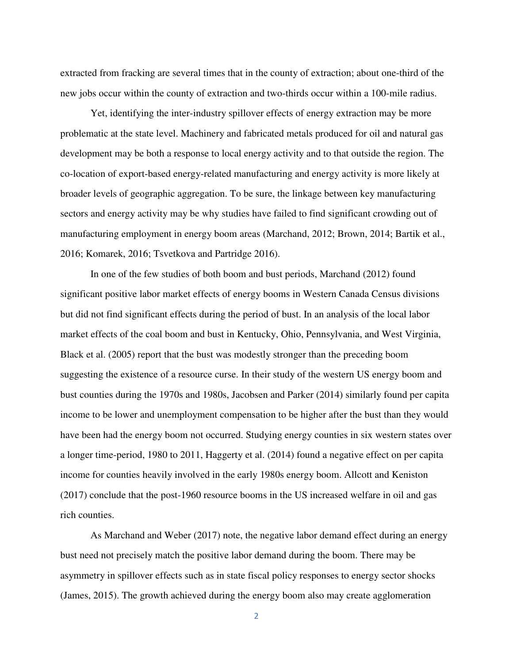extracted from fracking are several times that in the county of extraction; about one-third of the new jobs occur within the county of extraction and two-thirds occur within a 100-mile radius.

Yet, identifying the inter-industry spillover effects of energy extraction may be more problematic at the state level. Machinery and fabricated metals produced for oil and natural gas development may be both a response to local energy activity and to that outside the region. The co-location of export-based energy-related manufacturing and energy activity is more likely at broader levels of geographic aggregation. To be sure, the linkage between key manufacturing sectors and energy activity may be why studies have failed to find significant crowding out of manufacturing employment in energy boom areas (Marchand, 2012; Brown, 2014; Bartik et al., 2016; Komarek, 2016; Tsvetkova and Partridge 2016).

In one of the few studies of both boom and bust periods, Marchand (2012) found significant positive labor market effects of energy booms in Western Canada Census divisions but did not find significant effects during the period of bust. In an analysis of the local labor market effects of the coal boom and bust in Kentucky, Ohio, Pennsylvania, and West Virginia, Black et al. (2005) report that the bust was modestly stronger than the preceding boom suggesting the existence of a resource curse. In their study of the western US energy boom and bust counties during the 1970s and 1980s, Jacobsen and Parker (2014) similarly found per capita income to be lower and unemployment compensation to be higher after the bust than they would have been had the energy boom not occurred. Studying energy counties in six western states over a longer time-period, 1980 to 2011, Haggerty et al. (2014) found a negative effect on per capita income for counties heavily involved in the early 1980s energy boom. Allcott and Keniston (2017) conclude that the post-1960 resource booms in the US increased welfare in oil and gas rich counties.

As Marchand and Weber (2017) note, the negative labor demand effect during an energy bust need not precisely match the positive labor demand during the boom. There may be asymmetry in spillover effects such as in state fiscal policy responses to energy sector shocks (James, 2015). The growth achieved during the energy boom also may create agglomeration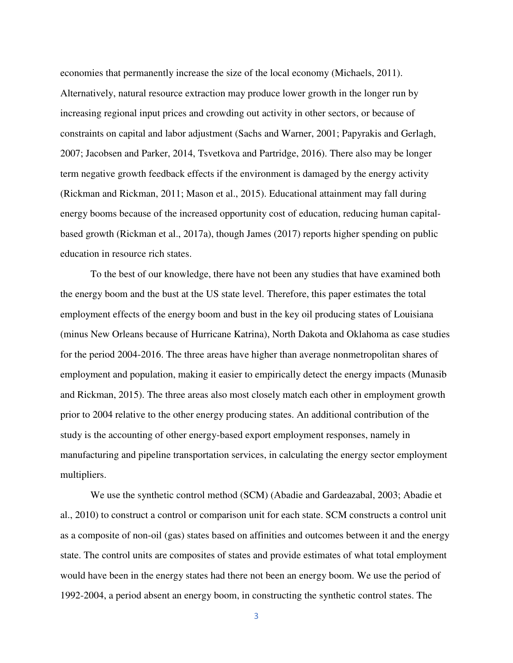economies that permanently increase the size of the local economy (Michaels, 2011). Alternatively, natural resource extraction may produce lower growth in the longer run by increasing regional input prices and crowding out activity in other sectors, or because of constraints on capital and labor adjustment (Sachs and Warner, 2001; Papyrakis and Gerlagh, 2007; Jacobsen and Parker, 2014, Tsvetkova and Partridge, 2016). There also may be longer term negative growth feedback effects if the environment is damaged by the energy activity (Rickman and Rickman, 2011; Mason et al., 2015). Educational attainment may fall during energy booms because of the increased opportunity cost of education, reducing human capitalbased growth (Rickman et al., 2017a), though James (2017) reports higher spending on public education in resource rich states.

To the best of our knowledge, there have not been any studies that have examined both the energy boom and the bust at the US state level. Therefore, this paper estimates the total employment effects of the energy boom and bust in the key oil producing states of Louisiana (minus New Orleans because of Hurricane Katrina), North Dakota and Oklahoma as case studies for the period 2004-2016. The three areas have higher than average nonmetropolitan shares of employment and population, making it easier to empirically detect the energy impacts (Munasib and Rickman, 2015). The three areas also most closely match each other in employment growth prior to 2004 relative to the other energy producing states. An additional contribution of the study is the accounting of other energy-based export employment responses, namely in manufacturing and pipeline transportation services, in calculating the energy sector employment multipliers.

We use the synthetic control method (SCM) (Abadie and Gardeazabal, 2003; Abadie et al., 2010) to construct a control or comparison unit for each state. SCM constructs a control unit as a composite of non-oil (gas) states based on affinities and outcomes between it and the energy state. The control units are composites of states and provide estimates of what total employment would have been in the energy states had there not been an energy boom. We use the period of 1992-2004, a period absent an energy boom, in constructing the synthetic control states. The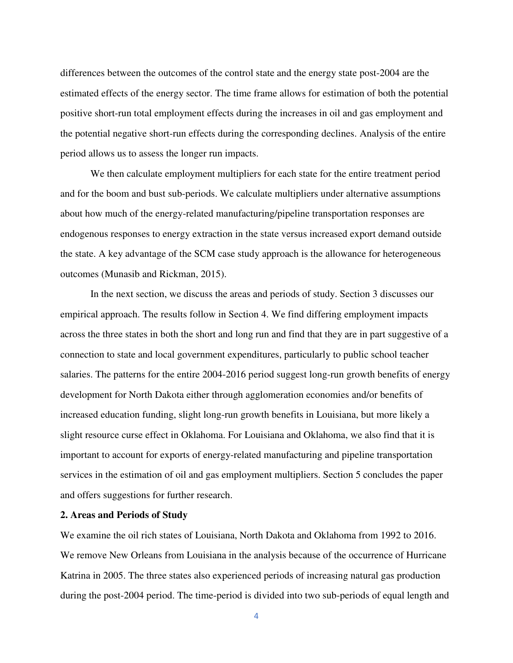differences between the outcomes of the control state and the energy state post-2004 are the estimated effects of the energy sector. The time frame allows for estimation of both the potential positive short-run total employment effects during the increases in oil and gas employment and the potential negative short-run effects during the corresponding declines. Analysis of the entire period allows us to assess the longer run impacts.

We then calculate employment multipliers for each state for the entire treatment period and for the boom and bust sub-periods. We calculate multipliers under alternative assumptions about how much of the energy-related manufacturing/pipeline transportation responses are endogenous responses to energy extraction in the state versus increased export demand outside the state. A key advantage of the SCM case study approach is the allowance for heterogeneous outcomes (Munasib and Rickman, 2015).

In the next section, we discuss the areas and periods of study. Section 3 discusses our empirical approach. The results follow in Section 4. We find differing employment impacts across the three states in both the short and long run and find that they are in part suggestive of a connection to state and local government expenditures, particularly to public school teacher salaries. The patterns for the entire 2004-2016 period suggest long-run growth benefits of energy development for North Dakota either through agglomeration economies and/or benefits of increased education funding, slight long-run growth benefits in Louisiana, but more likely a slight resource curse effect in Oklahoma. For Louisiana and Oklahoma, we also find that it is important to account for exports of energy-related manufacturing and pipeline transportation services in the estimation of oil and gas employment multipliers. Section 5 concludes the paper and offers suggestions for further research.

# **2. Areas and Periods of Study**

We examine the oil rich states of Louisiana, North Dakota and Oklahoma from 1992 to 2016. We remove New Orleans from Louisiana in the analysis because of the occurrence of Hurricane Katrina in 2005. The three states also experienced periods of increasing natural gas production during the post-2004 period. The time-period is divided into two sub-periods of equal length and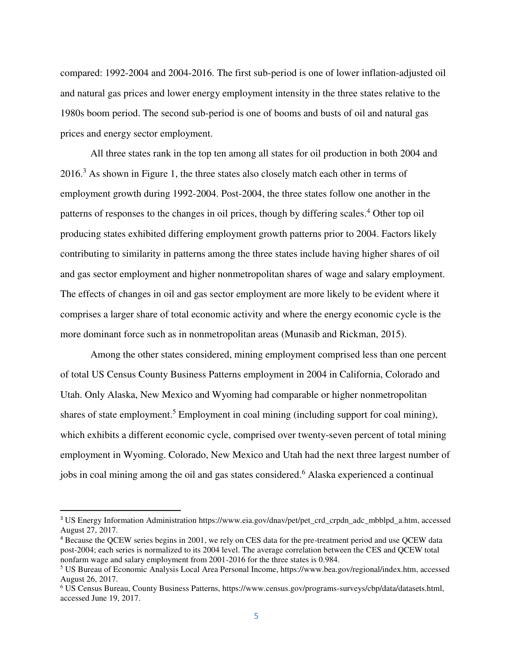compared: 1992-2004 and 2004-2016. The first sub-period is one of lower inflation-adjusted oil and natural gas prices and lower energy employment intensity in the three states relative to the 1980s boom period. The second sub-period is one of booms and busts of oil and natural gas prices and energy sector employment.

All three states rank in the top ten among all states for oil production in both 2004 and 2016.<sup>3</sup> As shown in Figure 1, the three states also closely match each other in terms of employment growth during 1992-2004. Post-2004, the three states follow one another in the patterns of responses to the changes in oil prices, though by differing scales.<sup>4</sup> Other top oil producing states exhibited differing employment growth patterns prior to 2004. Factors likely contributing to similarity in patterns among the three states include having higher shares of oil and gas sector employment and higher nonmetropolitan shares of wage and salary employment. The effects of changes in oil and gas sector employment are more likely to be evident where it comprises a larger share of total economic activity and where the energy economic cycle is the more dominant force such as in nonmetropolitan areas (Munasib and Rickman, 2015).

Among the other states considered, mining employment comprised less than one percent of total US Census County Business Patterns employment in 2004 in California, Colorado and Utah. Only Alaska, New Mexico and Wyoming had comparable or higher nonmetropolitan shares of state employment.<sup>5</sup> Employment in coal mining (including support for coal mining), which exhibits a different economic cycle, comprised over twenty-seven percent of total mining employment in Wyoming. Colorado, New Mexico and Utah had the next three largest number of jobs in coal mining among the oil and gas states considered.<sup>6</sup> Alaska experienced a continual

l

<sup>3</sup> US Energy Information Administration [https://www.eia.gov/dnav/pet/pet\\_crd\\_crpdn\\_adc\\_mbblpd\\_a.htm,](https://www.eia.gov/dnav/pet/pet_crd_crpdn_adc_mbblpd_a.htm) accessed August 27, 2017.

<sup>&</sup>lt;sup>4</sup> Because the QCEW series begins in 2001, we rely on CES data for the pre-treatment period and use QCEW data post-2004; each series is normalized to its 2004 level. The average correlation between the CES and QCEW total nonfarm wage and salary employment from 2001-2016 for the three states is 0.984.

<sup>5</sup> US Bureau of Economic Analysis Local Area Personal Income, https://www.bea.gov/regional/index.htm, accessed August 26, 2017.

<sup>&</sup>lt;sup>6</sup> US Census Bureau, County Business Patterns, [https://www.census.gov/programs-surveys/cbp/data/datasets.html,](https://www.census.gov/programs-surveys/cbp/data/datasets.html) accessed June 19, 2017.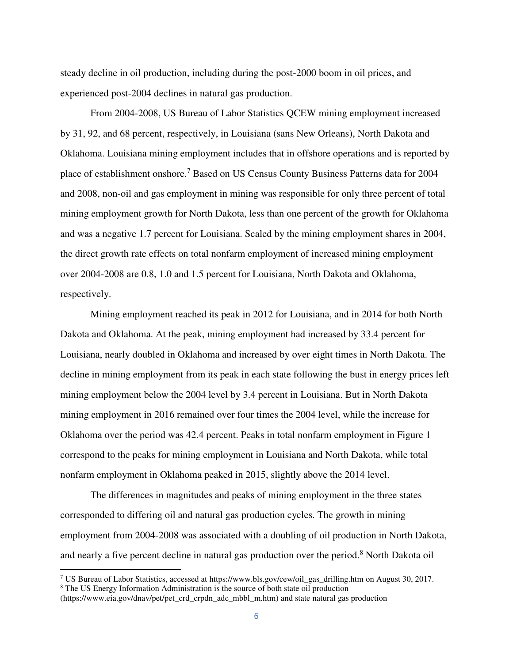steady decline in oil production, including during the post-2000 boom in oil prices, and experienced post-2004 declines in natural gas production.

From 2004-2008, US Bureau of Labor Statistics QCEW mining employment increased by 31, 92, and 68 percent, respectively, in Louisiana (sans New Orleans), North Dakota and Oklahoma. Louisiana mining employment includes that in offshore operations and is reported by place of establishment onshore.<sup>7</sup> Based on US Census County Business Patterns data for 2004 and 2008, non-oil and gas employment in mining was responsible for only three percent of total mining employment growth for North Dakota, less than one percent of the growth for Oklahoma and was a negative 1.7 percent for Louisiana. Scaled by the mining employment shares in 2004, the direct growth rate effects on total nonfarm employment of increased mining employment over 2004-2008 are 0.8, 1.0 and 1.5 percent for Louisiana, North Dakota and Oklahoma, respectively.

Mining employment reached its peak in 2012 for Louisiana, and in 2014 for both North Dakota and Oklahoma. At the peak, mining employment had increased by 33.4 percent for Louisiana, nearly doubled in Oklahoma and increased by over eight times in North Dakota. The decline in mining employment from its peak in each state following the bust in energy prices left mining employment below the 2004 level by 3.4 percent in Louisiana. But in North Dakota mining employment in 2016 remained over four times the 2004 level, while the increase for Oklahoma over the period was 42.4 percent. Peaks in total nonfarm employment in Figure 1 correspond to the peaks for mining employment in Louisiana and North Dakota, while total nonfarm employment in Oklahoma peaked in 2015, slightly above the 2014 level.

The differences in magnitudes and peaks of mining employment in the three states corresponded to differing oil and natural gas production cycles. The growth in mining employment from 2004-2008 was associated with a doubling of oil production in North Dakota, and nearly a five percent decline in natural gas production over the period.<sup>8</sup> North Dakota oil

l

<sup>&</sup>lt;sup>7</sup> US Bureau of Labor Statistics, accessed at [https://www.bls.gov/cew/oil\\_gas\\_drilling.htm](https://www.bls.gov/cew/oil_gas_drilling.htm) on August 30, 2017.

<sup>&</sup>lt;sup>8</sup> The US Energy Information Administration is the source of both state oil production

[<sup>\(</sup>https://www.eia.gov/dnav/pet/pet\\_crd\\_crpdn\\_adc\\_mbbl\\_m.htm\)](https://www.eia.gov/dnav/pet/pet_crd_crpdn_adc_mbbl_m.htm) and state natural gas production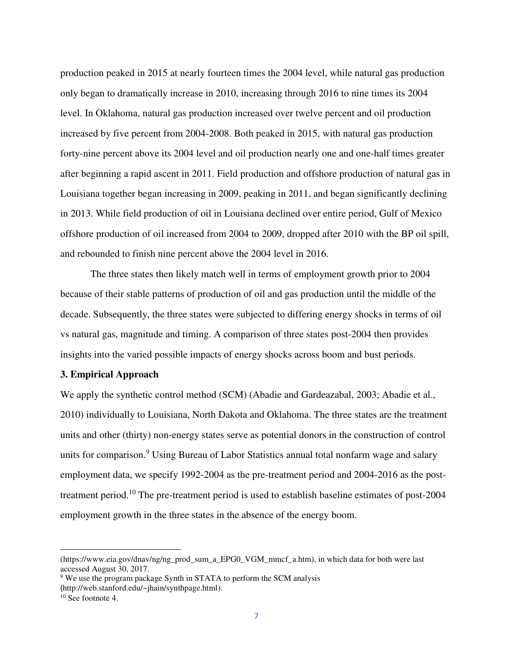production peaked in 2015 at nearly fourteen times the 2004 level, while natural gas production only began to dramatically increase in 2010, increasing through 2016 to nine times its 2004 level. In Oklahoma, natural gas production increased over twelve percent and oil production increased by five percent from 2004-2008. Both peaked in 2015, with natural gas production forty-nine percent above its 2004 level and oil production nearly one and one-half times greater after beginning a rapid ascent in 2011. Field production and offshore production of natural gas in Louisiana together began increasing in 2009, peaking in 2011, and began significantly declining in 2013. While field production of oil in Louisiana declined over entire period, Gulf of Mexico offshore production of oil increased from 2004 to 2009, dropped after 2010 with the BP oil spill, and rebounded to finish nine percent above the 2004 level in 2016.

The three states then likely match well in terms of employment growth prior to 2004 because of their stable patterns of production of oil and gas production until the middle of the decade. Subsequently, the three states were subjected to differing energy shocks in terms of oil vs natural gas, magnitude and timing. A comparison of three states post-2004 then provides insights into the varied possible impacts of energy shocks across boom and bust periods.

#### **3. Empirical Approach**

We apply the synthetic control method (SCM) (Abadie and Gardeazabal, 2003; Abadie et al., 2010) individually to Louisiana, North Dakota and Oklahoma. The three states are the treatment units and other (thirty) non-energy states serve as potential donors in the construction of control units for comparison.<sup>9</sup> Using Bureau of Labor Statistics annual total nonfarm wage and salary employment data, we specify 1992-2004 as the pre-treatment period and 2004-2016 as the posttreatment period.<sup>10</sup> The pre-treatment period is used to establish baseline estimates of post-2004 employment growth in the three states in the absence of the energy boom.

 $\overline{\phantom{0}}$ 

[<sup>\(</sup>https://www.eia.gov/dnav/ng/ng\\_prod\\_sum\\_a\\_EPG0\\_VGM\\_mmcf\\_a.htm\)](https://www.eia.gov/dnav/ng/ng_prod_sum_a_EPG0_VGM_mmcf_a.htm), in which data for both were last accessed August 30, 2017.

<sup>&</sup>lt;sup>9</sup> We use the program package Synth in STATA to perform the SCM analysis (http://web.stanford.edu/~jhain/synthpage.html).

<sup>&</sup>lt;sup>10</sup> See footnote 4.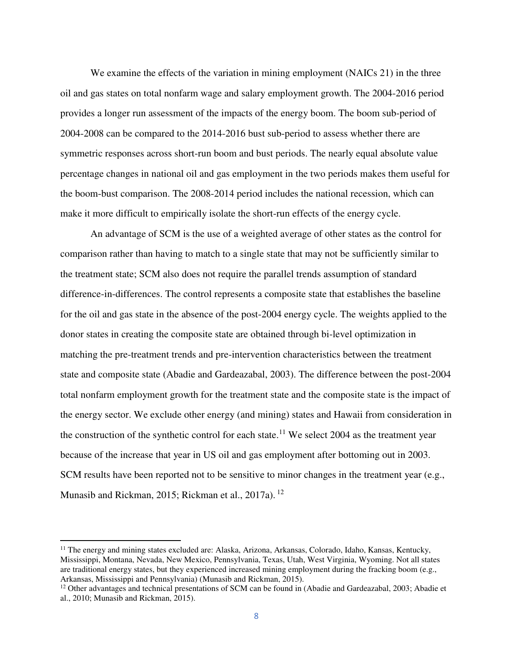We examine the effects of the variation in mining employment (NAICs 21) in the three oil and gas states on total nonfarm wage and salary employment growth. The 2004-2016 period provides a longer run assessment of the impacts of the energy boom. The boom sub-period of 2004-2008 can be compared to the 2014-2016 bust sub-period to assess whether there are symmetric responses across short-run boom and bust periods. The nearly equal absolute value percentage changes in national oil and gas employment in the two periods makes them useful for the boom-bust comparison. The 2008-2014 period includes the national recession, which can make it more difficult to empirically isolate the short-run effects of the energy cycle.

An advantage of SCM is the use of a weighted average of other states as the control for comparison rather than having to match to a single state that may not be sufficiently similar to the treatment state; SCM also does not require the parallel trends assumption of standard difference-in-differences. The control represents a composite state that establishes the baseline for the oil and gas state in the absence of the post-2004 energy cycle. The weights applied to the donor states in creating the composite state are obtained through bi-level optimization in matching the pre-treatment trends and pre-intervention characteristics between the treatment state and composite state (Abadie and Gardeazabal, 2003). The difference between the post-2004 total nonfarm employment growth for the treatment state and the composite state is the impact of the energy sector. We exclude other energy (and mining) states and Hawaii from consideration in the construction of the synthetic control for each state.<sup>11</sup> We select 2004 as the treatment year because of the increase that year in US oil and gas employment after bottoming out in 2003. SCM results have been reported not to be sensitive to minor changes in the treatment year (e.g., Munasib and Rickman, 2015; Rickman et al., 2017a). <sup>12</sup>

l

<sup>&</sup>lt;sup>11</sup> The energy and mining states excluded are: Alaska, Arizona, Arkansas, Colorado, Idaho, Kansas, Kentucky, Mississippi, Montana, Nevada, New Mexico, Pennsylvania, Texas, Utah, West Virginia, Wyoming. Not all states are traditional energy states, but they experienced increased mining employment during the fracking boom (e.g., Arkansas, Mississippi and Pennsylvania) (Munasib and Rickman, 2015).

 $12$  Other advantages and technical presentations of SCM can be found in (Abadie and Gardeazabal, 2003; Abadie et al., 2010; Munasib and Rickman, 2015).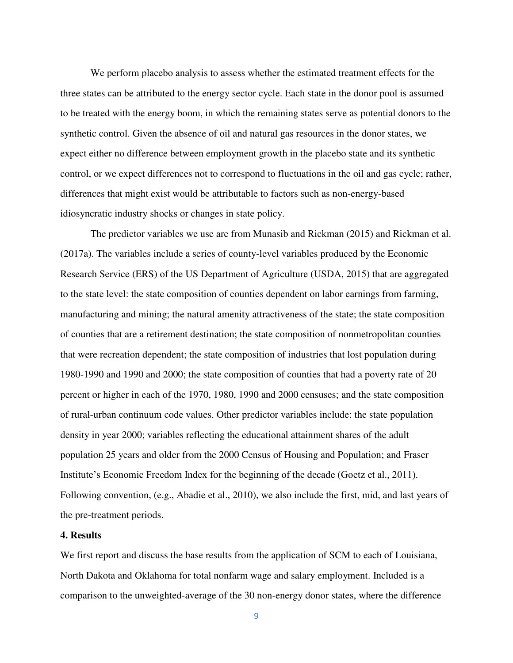We perform placebo analysis to assess whether the estimated treatment effects for the three states can be attributed to the energy sector cycle. Each state in the donor pool is assumed to be treated with the energy boom, in which the remaining states serve as potential donors to the synthetic control. Given the absence of oil and natural gas resources in the donor states, we expect either no difference between employment growth in the placebo state and its synthetic control, or we expect differences not to correspond to fluctuations in the oil and gas cycle; rather, differences that might exist would be attributable to factors such as non-energy-based idiosyncratic industry shocks or changes in state policy.

The predictor variables we use are from Munasib and Rickman (2015) and Rickman et al. (2017a). The variables include a series of county-level variables produced by the Economic Research Service (ERS) of the US Department of Agriculture (USDA, 2015) that are aggregated to the state level: the state composition of counties dependent on labor earnings from farming, manufacturing and mining; the natural amenity attractiveness of the state; the state composition of counties that are a retirement destination; the state composition of nonmetropolitan counties that were recreation dependent; the state composition of industries that lost population during 1980-1990 and 1990 and 2000; the state composition of counties that had a poverty rate of 20 percent or higher in each of the 1970, 1980, 1990 and 2000 censuses; and the state composition of rural-urban continuum code values. Other predictor variables include: the state population density in year 2000; variables reflecting the educational attainment shares of the adult population 25 years and older from the 2000 Census of Housing and Population; and Fraser Institute's Economic Freedom Index for the beginning of the decade (Goetz et al., 2011). Following convention, (e.g., Abadie et al., 2010), we also include the first, mid, and last years of the pre-treatment periods.

#### **4. Results**

We first report and discuss the base results from the application of SCM to each of Louisiana, North Dakota and Oklahoma for total nonfarm wage and salary employment. Included is a comparison to the unweighted-average of the 30 non-energy donor states, where the difference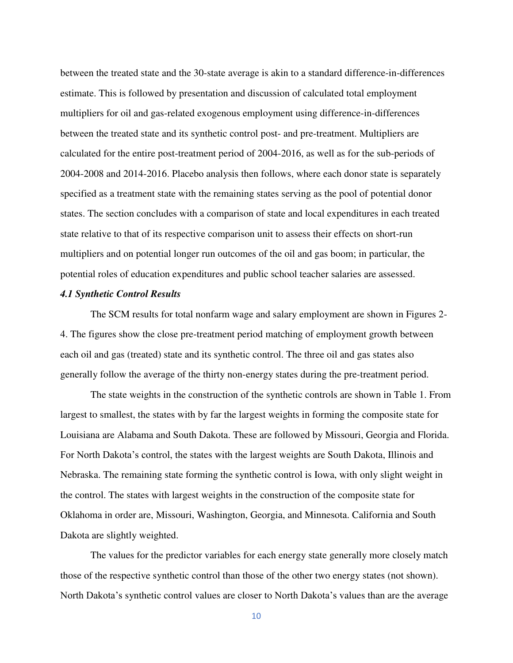between the treated state and the 30-state average is akin to a standard difference-in-differences estimate. This is followed by presentation and discussion of calculated total employment multipliers for oil and gas-related exogenous employment using difference-in-differences between the treated state and its synthetic control post- and pre-treatment. Multipliers are calculated for the entire post-treatment period of 2004-2016, as well as for the sub-periods of 2004-2008 and 2014-2016. Placebo analysis then follows, where each donor state is separately specified as a treatment state with the remaining states serving as the pool of potential donor states. The section concludes with a comparison of state and local expenditures in each treated state relative to that of its respective comparison unit to assess their effects on short-run multipliers and on potential longer run outcomes of the oil and gas boom; in particular, the potential roles of education expenditures and public school teacher salaries are assessed.

#### *4.1 Synthetic Control Results*

The SCM results for total nonfarm wage and salary employment are shown in Figures 2- 4. The figures show the close pre-treatment period matching of employment growth between each oil and gas (treated) state and its synthetic control. The three oil and gas states also generally follow the average of the thirty non-energy states during the pre-treatment period.

The state weights in the construction of the synthetic controls are shown in Table 1. From largest to smallest, the states with by far the largest weights in forming the composite state for Louisiana are Alabama and South Dakota. These are followed by Missouri, Georgia and Florida. For North Dakota's control, the states with the largest weights are South Dakota, Illinois and Nebraska. The remaining state forming the synthetic control is Iowa, with only slight weight in the control. The states with largest weights in the construction of the composite state for Oklahoma in order are, Missouri, Washington, Georgia, and Minnesota. California and South Dakota are slightly weighted.

The values for the predictor variables for each energy state generally more closely match those of the respective synthetic control than those of the other two energy states (not shown). North Dakota's synthetic control values are closer to North Dakota's values than are the average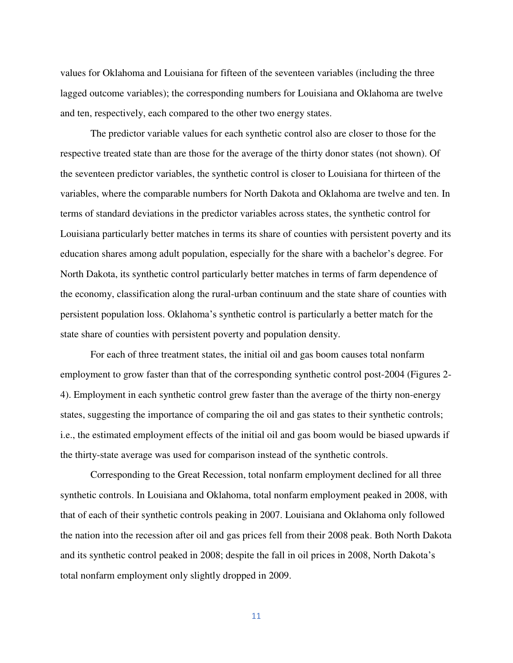values for Oklahoma and Louisiana for fifteen of the seventeen variables (including the three lagged outcome variables); the corresponding numbers for Louisiana and Oklahoma are twelve and ten, respectively, each compared to the other two energy states.

The predictor variable values for each synthetic control also are closer to those for the respective treated state than are those for the average of the thirty donor states (not shown). Of the seventeen predictor variables, the synthetic control is closer to Louisiana for thirteen of the variables, where the comparable numbers for North Dakota and Oklahoma are twelve and ten. In terms of standard deviations in the predictor variables across states, the synthetic control for Louisiana particularly better matches in terms its share of counties with persistent poverty and its education shares among adult population, especially for the share with a bachelor's degree. For North Dakota, its synthetic control particularly better matches in terms of farm dependence of the economy, classification along the rural-urban continuum and the state share of counties with persistent population loss. Oklahoma's synthetic control is particularly a better match for the state share of counties with persistent poverty and population density.

For each of three treatment states, the initial oil and gas boom causes total nonfarm employment to grow faster than that of the corresponding synthetic control post-2004 (Figures 2- 4). Employment in each synthetic control grew faster than the average of the thirty non-energy states, suggesting the importance of comparing the oil and gas states to their synthetic controls; i.e., the estimated employment effects of the initial oil and gas boom would be biased upwards if the thirty-state average was used for comparison instead of the synthetic controls.

Corresponding to the Great Recession, total nonfarm employment declined for all three synthetic controls. In Louisiana and Oklahoma, total nonfarm employment peaked in 2008, with that of each of their synthetic controls peaking in 2007. Louisiana and Oklahoma only followed the nation into the recession after oil and gas prices fell from their 2008 peak. Both North Dakota and its synthetic control peaked in 2008; despite the fall in oil prices in 2008, North Dakota's total nonfarm employment only slightly dropped in 2009.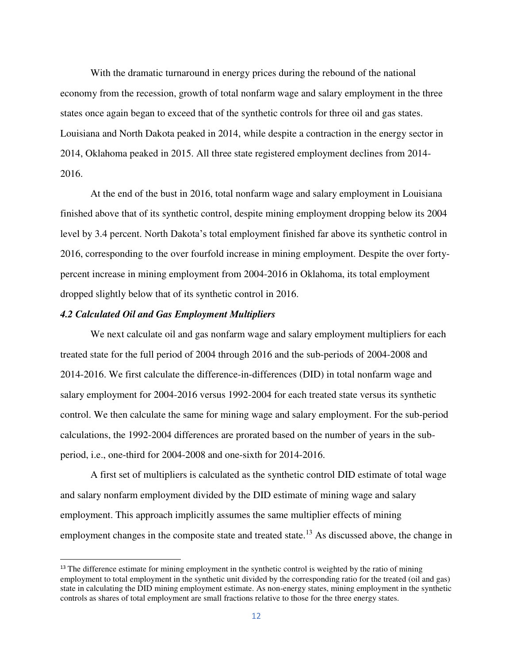With the dramatic turnaround in energy prices during the rebound of the national economy from the recession, growth of total nonfarm wage and salary employment in the three states once again began to exceed that of the synthetic controls for three oil and gas states. Louisiana and North Dakota peaked in 2014, while despite a contraction in the energy sector in 2014, Oklahoma peaked in 2015. All three state registered employment declines from 2014- 2016.

At the end of the bust in 2016, total nonfarm wage and salary employment in Louisiana finished above that of its synthetic control, despite mining employment dropping below its 2004 level by 3.4 percent. North Dakota's total employment finished far above its synthetic control in 2016, corresponding to the over fourfold increase in mining employment. Despite the over fortypercent increase in mining employment from 2004-2016 in Oklahoma, its total employment dropped slightly below that of its synthetic control in 2016.

#### *4.2 Calculated Oil and Gas Employment Multipliers*

 $\overline{a}$ 

 We next calculate oil and gas nonfarm wage and salary employment multipliers for each treated state for the full period of 2004 through 2016 and the sub-periods of 2004-2008 and 2014-2016. We first calculate the difference-in-differences (DID) in total nonfarm wage and salary employment for 2004-2016 versus 1992-2004 for each treated state versus its synthetic control. We then calculate the same for mining wage and salary employment. For the sub-period calculations, the 1992-2004 differences are prorated based on the number of years in the subperiod, i.e., one-third for 2004-2008 and one-sixth for 2014-2016.

A first set of multipliers is calculated as the synthetic control DID estimate of total wage and salary nonfarm employment divided by the DID estimate of mining wage and salary employment. This approach implicitly assumes the same multiplier effects of mining employment changes in the composite state and treated state.<sup>13</sup> As discussed above, the change in

<sup>&</sup>lt;sup>13</sup> The difference estimate for mining employment in the synthetic control is weighted by the ratio of mining employment to total employment in the synthetic unit divided by the corresponding ratio for the treated (oil and gas) state in calculating the DID mining employment estimate. As non-energy states, mining employment in the synthetic controls as shares of total employment are small fractions relative to those for the three energy states.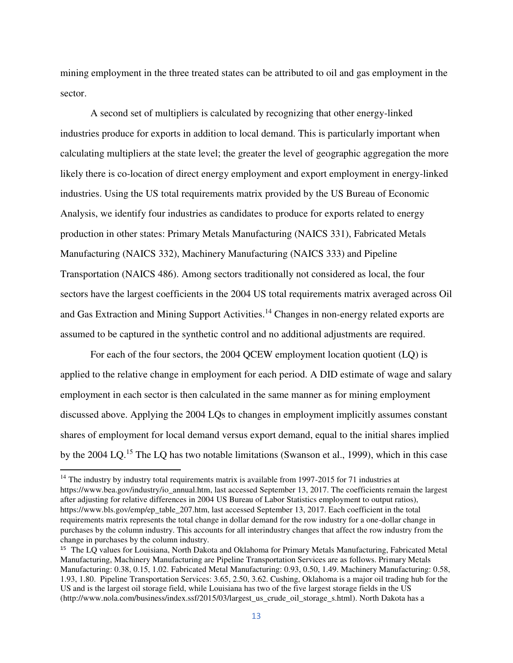mining employment in the three treated states can be attributed to oil and gas employment in the sector.

 A second set of multipliers is calculated by recognizing that other energy-linked industries produce for exports in addition to local demand. This is particularly important when calculating multipliers at the state level; the greater the level of geographic aggregation the more likely there is co-location of direct energy employment and export employment in energy-linked industries. Using the US total requirements matrix provided by the US Bureau of Economic Analysis, we identify four industries as candidates to produce for exports related to energy production in other states: Primary Metals Manufacturing (NAICS 331), Fabricated Metals Manufacturing (NAICS 332), Machinery Manufacturing (NAICS 333) and Pipeline Transportation (NAICS 486). Among sectors traditionally not considered as local, the four sectors have the largest coefficients in the 2004 US total requirements matrix averaged across Oil and Gas Extraction and Mining Support Activities.<sup>14</sup> Changes in non-energy related exports are assumed to be captured in the synthetic control and no additional adjustments are required.

For each of the four sectors, the 2004 QCEW employment location quotient (LQ) is applied to the relative change in employment for each period. A DID estimate of wage and salary employment in each sector is then calculated in the same manner as for mining employment discussed above. Applying the 2004 LQs to changes in employment implicitly assumes constant shares of employment for local demand versus export demand, equal to the initial shares implied by the 2004 LQ.<sup>15</sup> The LQ has two notable limitations (Swanson et al., 1999), which in this case

 $\overline{\phantom{0}}$ 

 $14$  The industry by industry total requirements matrix is available from 1997-2015 for 71 industries at [https://www.bea.gov/industry/io\\_annual.htm,](https://www.bea.gov/industry/io_annual.htm) last accessed September 13, 2017. The coefficients remain the largest after adjusting for relative differences in 2004 US Bureau of Labor Statistics employment to output ratios), [https://www.bls.gov/emp/ep\\_table\\_207.htm,](https://www.bls.gov/emp/ep_table_207.htm) last accessed September 13, 2017. Each coefficient in the total requirements matrix represents the total change in dollar demand for the row industry for a one-dollar change in purchases by the column industry. This accounts for all interindustry changes that affect the row industry from the change in purchases by the column industry.

<sup>&</sup>lt;sup>15</sup> The LQ values for Louisiana, North Dakota and Oklahoma for Primary Metals Manufacturing, Fabricated Metal Manufacturing, Machinery Manufacturing are Pipeline Transportation Services are as follows. Primary Metals Manufacturing: 0.38, 0.15, 1.02. Fabricated Metal Manufacturing: 0.93, 0.50, 1.49. Machinery Manufacturing: 0.58, 1.93, 1.80. Pipeline Transportation Services: 3.65, 2.50, 3.62. Cushing, Oklahoma is a major oil trading hub for the US and is the largest oil storage field, while Louisiana has two of the five largest storage fields in the US (http://www.nola.com/business/index.ssf/2015/03/largest\_us\_crude\_oil\_storage\_s.html). North Dakota has a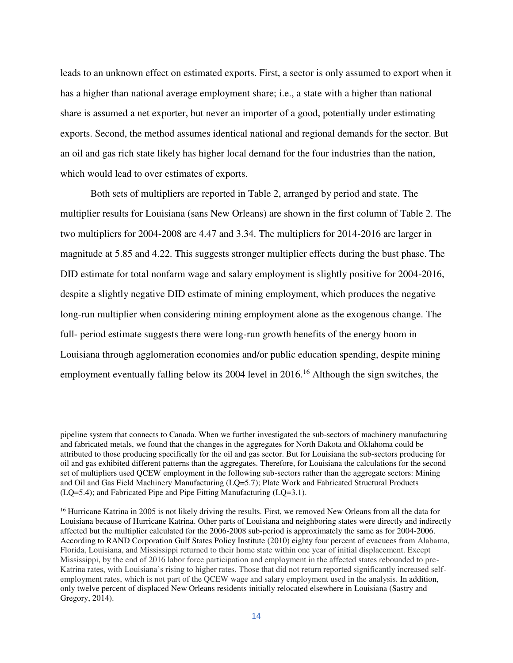leads to an unknown effect on estimated exports. First, a sector is only assumed to export when it has a higher than national average employment share; i.e., a state with a higher than national share is assumed a net exporter, but never an importer of a good, potentially under estimating exports. Second, the method assumes identical national and regional demands for the sector. But an oil and gas rich state likely has higher local demand for the four industries than the nation, which would lead to over estimates of exports.

Both sets of multipliers are reported in Table 2, arranged by period and state. The multiplier results for Louisiana (sans New Orleans) are shown in the first column of Table 2. The two multipliers for 2004-2008 are 4.47 and 3.34. The multipliers for 2014-2016 are larger in magnitude at 5.85 and 4.22. This suggests stronger multiplier effects during the bust phase. The DID estimate for total nonfarm wage and salary employment is slightly positive for 2004-2016, despite a slightly negative DID estimate of mining employment, which produces the negative long-run multiplier when considering mining employment alone as the exogenous change. The full- period estimate suggests there were long-run growth benefits of the energy boom in Louisiana through agglomeration economies and/or public education spending, despite mining employment eventually falling below its 2004 level in 2016.<sup>16</sup> Although the sign switches, the

 $\overline{\phantom{0}}$ 

pipeline system that connects to Canada. When we further investigated the sub-sectors of machinery manufacturing and fabricated metals, we found that the changes in the aggregates for North Dakota and Oklahoma could be attributed to those producing specifically for the oil and gas sector. But for Louisiana the sub-sectors producing for oil and gas exhibited different patterns than the aggregates. Therefore, for Louisiana the calculations for the second set of multipliers used QCEW employment in the following sub-sectors rather than the aggregate sectors: Mining and Oil and Gas Field Machinery Manufacturing (LQ=5.7); Plate Work and Fabricated Structural Products (LQ=5.4); and Fabricated Pipe and Pipe Fitting Manufacturing (LQ=3.1).

<sup>&</sup>lt;sup>16</sup> Hurricane Katrina in 2005 is not likely driving the results. First, we removed New Orleans from all the data for Louisiana because of Hurricane Katrina. Other parts of Louisiana and neighboring states were directly and indirectly affected but the multiplier calculated for the 2006-2008 sub-period is approximately the same as for 2004-2006. According to RAND Corporation Gulf States Policy Institute (2010) eighty four percent of evacuees from Alabama, Florida, Louisiana, and Mississippi returned to their home state within one year of initial displacement. Except Mississippi, by the end of 2016 labor force participation and employment in the affected states rebounded to pre-Katrina rates, with Louisiana's rising to higher rates. Those that did not return reported significantly increased selfemployment rates, which is not part of the QCEW wage and salary employment used in the analysis. In addition, only twelve percent of displaced New Orleans residents initially relocated elsewhere in Louisiana (Sastry and Gregory, 2014).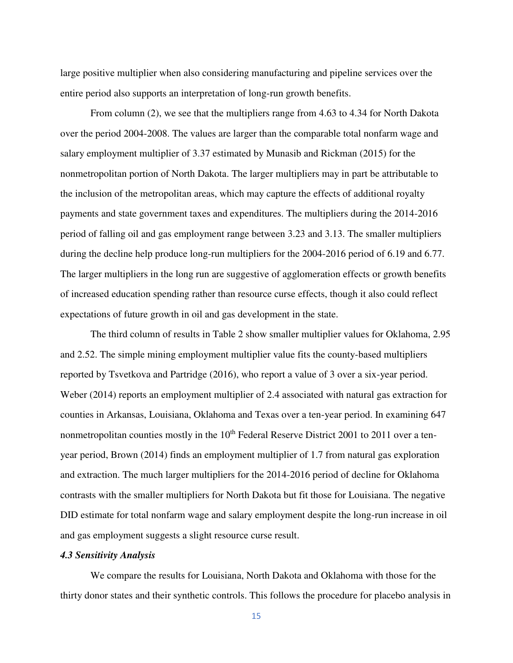large positive multiplier when also considering manufacturing and pipeline services over the entire period also supports an interpretation of long-run growth benefits.

From column (2), we see that the multipliers range from 4.63 to 4.34 for North Dakota over the period 2004-2008. The values are larger than the comparable total nonfarm wage and salary employment multiplier of 3.37 estimated by Munasib and Rickman (2015) for the nonmetropolitan portion of North Dakota. The larger multipliers may in part be attributable to the inclusion of the metropolitan areas, which may capture the effects of additional royalty payments and state government taxes and expenditures. The multipliers during the 2014-2016 period of falling oil and gas employment range between 3.23 and 3.13. The smaller multipliers during the decline help produce long-run multipliers for the 2004-2016 period of 6.19 and 6.77. The larger multipliers in the long run are suggestive of agglomeration effects or growth benefits of increased education spending rather than resource curse effects, though it also could reflect expectations of future growth in oil and gas development in the state.

 The third column of results in Table 2 show smaller multiplier values for Oklahoma, 2.95 and 2.52. The simple mining employment multiplier value fits the county-based multipliers reported by Tsvetkova and Partridge (2016), who report a value of 3 over a six-year period. Weber (2014) reports an employment multiplier of 2.4 associated with natural gas extraction for counties in Arkansas, Louisiana, Oklahoma and Texas over a ten-year period. In examining 647 nonmetropolitan counties mostly in the  $10<sup>th</sup>$  Federal Reserve District 2001 to 2011 over a tenyear period, Brown (2014) finds an employment multiplier of 1.7 from natural gas exploration and extraction. The much larger multipliers for the 2014-2016 period of decline for Oklahoma contrasts with the smaller multipliers for North Dakota but fit those for Louisiana. The negative DID estimate for total nonfarm wage and salary employment despite the long-run increase in oil and gas employment suggests a slight resource curse result.

#### *4.3 Sensitivity Analysis*

We compare the results for Louisiana, North Dakota and Oklahoma with those for the thirty donor states and their synthetic controls. This follows the procedure for placebo analysis in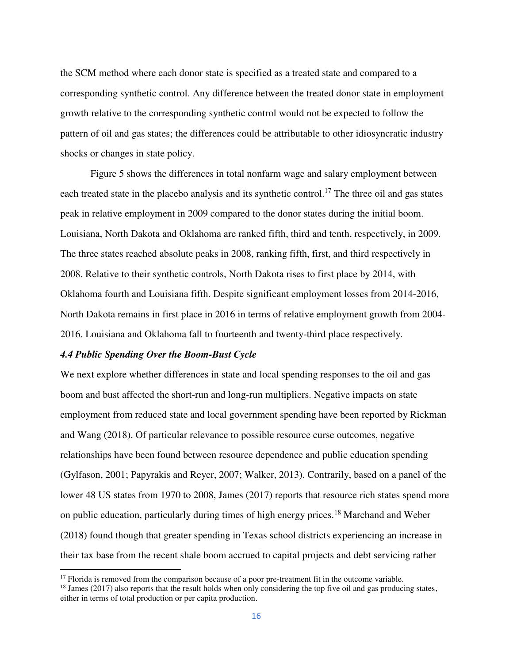the SCM method where each donor state is specified as a treated state and compared to a corresponding synthetic control. Any difference between the treated donor state in employment growth relative to the corresponding synthetic control would not be expected to follow the pattern of oil and gas states; the differences could be attributable to other idiosyncratic industry shocks or changes in state policy.

 Figure 5 shows the differences in total nonfarm wage and salary employment between each treated state in the placebo analysis and its synthetic control.<sup>17</sup> The three oil and gas states peak in relative employment in 2009 compared to the donor states during the initial boom. Louisiana, North Dakota and Oklahoma are ranked fifth, third and tenth, respectively, in 2009. The three states reached absolute peaks in 2008, ranking fifth, first, and third respectively in 2008. Relative to their synthetic controls, North Dakota rises to first place by 2014, with Oklahoma fourth and Louisiana fifth. Despite significant employment losses from 2014-2016, North Dakota remains in first place in 2016 in terms of relative employment growth from 2004- 2016. Louisiana and Oklahoma fall to fourteenth and twenty-third place respectively.

#### *4.4 Public Spending Over the Boom-Bust Cycle*

l

We next explore whether differences in state and local spending responses to the oil and gas boom and bust affected the short-run and long-run multipliers. Negative impacts on state employment from reduced state and local government spending have been reported by Rickman and Wang (2018). Of particular relevance to possible resource curse outcomes, negative relationships have been found between resource dependence and public education spending (Gylfason, 2001; Papyrakis and Reyer, 2007; Walker, 2013). Contrarily, based on a panel of the lower 48 US states from 1970 to 2008, James (2017) reports that resource rich states spend more on public education, particularly during times of high energy prices.<sup>18</sup> Marchand and Weber (2018) found though that greater spending in Texas school districts experiencing an increase in their tax base from the recent shale boom accrued to capital projects and debt servicing rather

<sup>&</sup>lt;sup>17</sup> Florida is removed from the comparison because of a poor pre-treatment fit in the outcome variable.

<sup>&</sup>lt;sup>18</sup> James (2017) also reports that the result holds when only considering the top five oil and gas producing states, either in terms of total production or per capita production.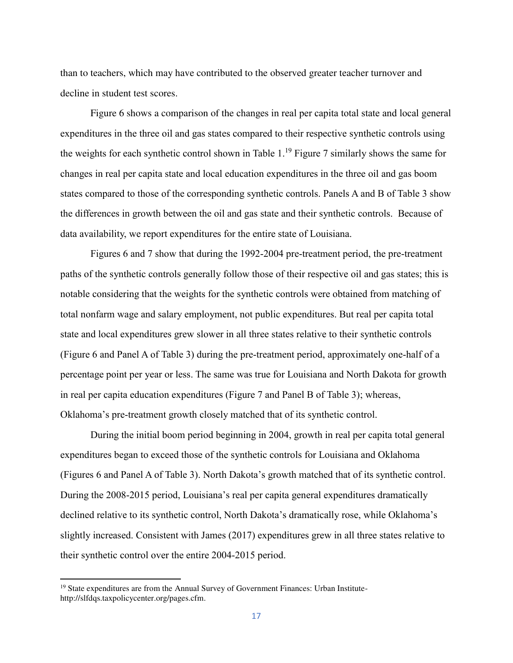than to teachers, which may have contributed to the observed greater teacher turnover and decline in student test scores.

Figure 6 shows a comparison of the changes in real per capita total state and local general expenditures in the three oil and gas states compared to their respective synthetic controls using the weights for each synthetic control shown in Table  $1<sup>19</sup>$  Figure 7 similarly shows the same for changes in real per capita state and local education expenditures in the three oil and gas boom states compared to those of the corresponding synthetic controls. Panels A and B of Table 3 show the differences in growth between the oil and gas state and their synthetic controls. Because of data availability, we report expenditures for the entire state of Louisiana.

Figures 6 and 7 show that during the 1992-2004 pre-treatment period, the pre-treatment paths of the synthetic controls generally follow those of their respective oil and gas states; this is notable considering that the weights for the synthetic controls were obtained from matching of total nonfarm wage and salary employment, not public expenditures. But real per capita total state and local expenditures grew slower in all three states relative to their synthetic controls (Figure 6 and Panel A of Table 3) during the pre-treatment period, approximately one-half of a percentage point per year or less. The same was true for Louisiana and North Dakota for growth in real per capita education expenditures (Figure 7 and Panel B of Table 3); whereas, Oklahoma's pre-treatment growth closely matched that of its synthetic control.

During the initial boom period beginning in 2004, growth in real per capita total general expenditures began to exceed those of the synthetic controls for Louisiana and Oklahoma (Figures 6 and Panel A of Table 3). North Dakota's growth matched that of its synthetic control. During the 2008-2015 period, Louisiana's real per capita general expenditures dramatically declined relative to its synthetic control, North Dakota's dramatically rose, while Oklahoma's slightly increased. Consistent with James (2017) expenditures grew in all three states relative to their synthetic control over the entire 2004-2015 period.

 $\overline{a}$ 

<sup>&</sup>lt;sup>19</sup> State expenditures are from the Annual Survey of Government Finances: Urban Institutehttp://slfdqs.taxpolicycenter.org/pages.cfm.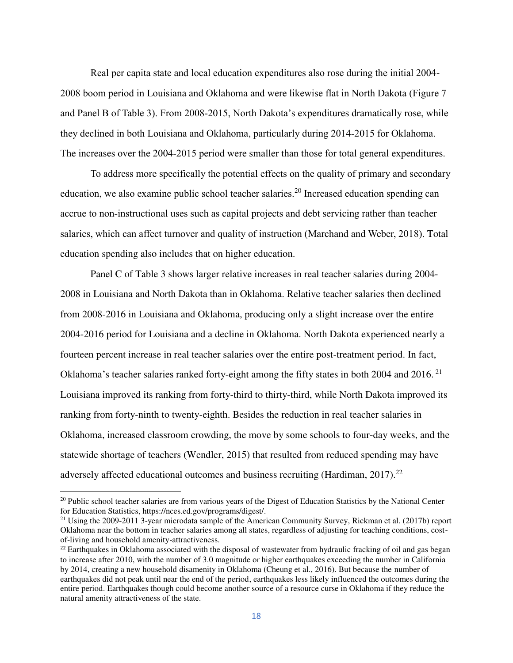Real per capita state and local education expenditures also rose during the initial 2004- 2008 boom period in Louisiana and Oklahoma and were likewise flat in North Dakota (Figure 7 and Panel B of Table 3). From 2008-2015, North Dakota's expenditures dramatically rose, while they declined in both Louisiana and Oklahoma, particularly during 2014-2015 for Oklahoma. The increases over the 2004-2015 period were smaller than those for total general expenditures.

To address more specifically the potential effects on the quality of primary and secondary education, we also examine public school teacher salaries.<sup>20</sup> Increased education spending can accrue to non-instructional uses such as capital projects and debt servicing rather than teacher salaries, which can affect turnover and quality of instruction (Marchand and Weber, 2018). Total education spending also includes that on higher education.

Panel C of Table 3 shows larger relative increases in real teacher salaries during 2004- 2008 in Louisiana and North Dakota than in Oklahoma. Relative teacher salaries then declined from 2008-2016 in Louisiana and Oklahoma, producing only a slight increase over the entire 2004-2016 period for Louisiana and a decline in Oklahoma. North Dakota experienced nearly a fourteen percent increase in real teacher salaries over the entire post-treatment period. In fact, Oklahoma's teacher salaries ranked forty-eight among the fifty states in both 2004 and 2016. <sup>21</sup> Louisiana improved its ranking from forty-third to thirty-third, while North Dakota improved its ranking from forty-ninth to twenty-eighth. Besides the reduction in real teacher salaries in Oklahoma, increased classroom crowding, the move by some schools to four-day weeks, and the statewide shortage of teachers (Wendler, 2015) that resulted from reduced spending may have adversely affected educational outcomes and business recruiting (Hardiman,  $2017$ ).<sup>22</sup>

 $\overline{\phantom{0}}$ 

 $20$  Public school teacher salaries are from various years of the Digest of Education Statistics by the National Center for Education Statistics, https://nces.ed.gov/programs/digest/.

<sup>&</sup>lt;sup>21</sup> Using the 2009-2011 3-year microdata sample of the American Community Survey, Rickman et al. (2017b) report Oklahoma near the bottom in teacher salaries among all states, regardless of adjusting for teaching conditions, costof-living and household amenity-attractiveness.

 $^{22}$  Earthquakes in Oklahoma associated with the disposal of wastewater from hydraulic fracking of oil and gas began to increase after 2010, with the number of 3.0 magnitude or higher earthquakes exceeding the number in California by 2014, creating a new household disamenity in Oklahoma (Cheung et al., 2016). But because the number of earthquakes did not peak until near the end of the period, earthquakes less likely influenced the outcomes during the entire period. Earthquakes though could become another source of a resource curse in Oklahoma if they reduce the natural amenity attractiveness of the state.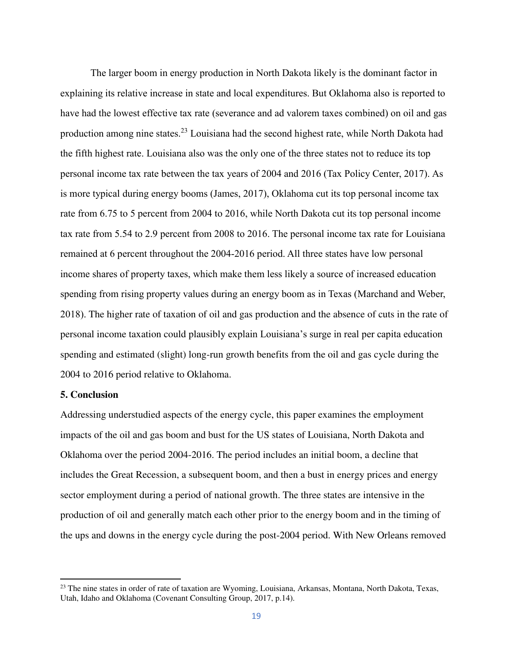The larger boom in energy production in North Dakota likely is the dominant factor in explaining its relative increase in state and local expenditures. But Oklahoma also is reported to have had the lowest effective tax rate (severance and ad valorem taxes combined) on oil and gas production among nine states.<sup>23</sup> Louisiana had the second highest rate, while North Dakota had the fifth highest rate. Louisiana also was the only one of the three states not to reduce its top personal income tax rate between the tax years of 2004 and 2016 (Tax Policy Center, 2017). As is more typical during energy booms (James, 2017), Oklahoma cut its top personal income tax rate from 6.75 to 5 percent from 2004 to 2016, while North Dakota cut its top personal income tax rate from 5.54 to 2.9 percent from 2008 to 2016. The personal income tax rate for Louisiana remained at 6 percent throughout the 2004-2016 period. All three states have low personal income shares of property taxes, which make them less likely a source of increased education spending from rising property values during an energy boom as in Texas (Marchand and Weber, 2018). The higher rate of taxation of oil and gas production and the absence of cuts in the rate of personal income taxation could plausibly explain Louisiana's surge in real per capita education spending and estimated (slight) long-run growth benefits from the oil and gas cycle during the 2004 to 2016 period relative to Oklahoma.

## **5. Conclusion**

 $\overline{a}$ 

Addressing understudied aspects of the energy cycle, this paper examines the employment impacts of the oil and gas boom and bust for the US states of Louisiana, North Dakota and Oklahoma over the period 2004-2016. The period includes an initial boom, a decline that includes the Great Recession, a subsequent boom, and then a bust in energy prices and energy sector employment during a period of national growth. The three states are intensive in the production of oil and generally match each other prior to the energy boom and in the timing of the ups and downs in the energy cycle during the post-2004 period. With New Orleans removed

<sup>&</sup>lt;sup>23</sup> The nine states in order of rate of taxation are Wyoming, Louisiana, Arkansas, Montana, North Dakota, Texas, Utah, Idaho and Oklahoma (Covenant Consulting Group, 2017, p.14).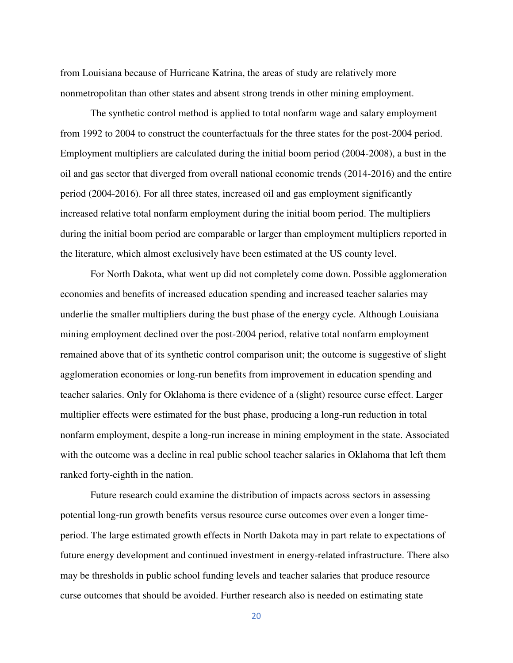from Louisiana because of Hurricane Katrina, the areas of study are relatively more nonmetropolitan than other states and absent strong trends in other mining employment.

 The synthetic control method is applied to total nonfarm wage and salary employment from 1992 to 2004 to construct the counterfactuals for the three states for the post-2004 period. Employment multipliers are calculated during the initial boom period (2004-2008), a bust in the oil and gas sector that diverged from overall national economic trends (2014-2016) and the entire period (2004-2016). For all three states, increased oil and gas employment significantly increased relative total nonfarm employment during the initial boom period. The multipliers during the initial boom period are comparable or larger than employment multipliers reported in the literature, which almost exclusively have been estimated at the US county level.

For North Dakota, what went up did not completely come down. Possible agglomeration economies and benefits of increased education spending and increased teacher salaries may underlie the smaller multipliers during the bust phase of the energy cycle. Although Louisiana mining employment declined over the post-2004 period, relative total nonfarm employment remained above that of its synthetic control comparison unit; the outcome is suggestive of slight agglomeration economies or long-run benefits from improvement in education spending and teacher salaries. Only for Oklahoma is there evidence of a (slight) resource curse effect. Larger multiplier effects were estimated for the bust phase, producing a long-run reduction in total nonfarm employment, despite a long-run increase in mining employment in the state. Associated with the outcome was a decline in real public school teacher salaries in Oklahoma that left them ranked forty-eighth in the nation.

 Future research could examine the distribution of impacts across sectors in assessing potential long-run growth benefits versus resource curse outcomes over even a longer timeperiod. The large estimated growth effects in North Dakota may in part relate to expectations of future energy development and continued investment in energy-related infrastructure. There also may be thresholds in public school funding levels and teacher salaries that produce resource curse outcomes that should be avoided. Further research also is needed on estimating state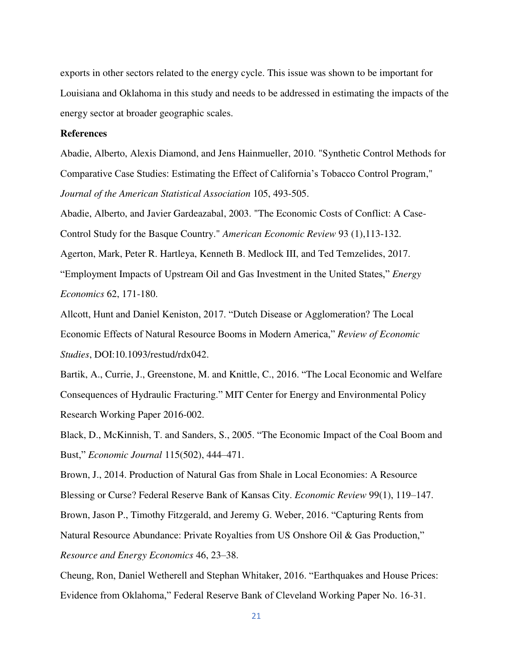exports in other sectors related to the energy cycle. This issue was shown to be important for Louisiana and Oklahoma in this study and needs to be addressed in estimating the impacts of the energy sector at broader geographic scales.

## **References**

Abadie, Alberto, Alexis Diamond, and Jens Hainmueller, 2010. "Synthetic Control Methods for Comparative Case Studies: Estimating the Effect of California's Tobacco Control Program," *Journal of the American Statistical Association* 105, 493-505.

Abadie, Alberto, and Javier Gardeazabal, 2003. "The Economic Costs of Conflict: A Case-Control Study for the Basque Country." *American Economic Review* 93 (1),113-132. Agerton, Mark, Peter R. Hartleya, Kenneth B. Medlock III, and Ted Temzelides, 2017.

"Employment Impacts of Upstream Oil and Gas Investment in the United States," *Energy Economics* 62, 171-180.

Allcott, Hunt and Daniel Keniston, 2017. "Dutch Disease or Agglomeration? The Local Economic Effects of Natural Resource Booms in Modern America," *Review of Economic Studies*, DOI:10.1093/restud/rdx042.

Bartik, A., Currie, J., Greenstone, M. and Knittle, C., 2016. "The Local Economic and Welfare Consequences of Hydraulic Fracturing." MIT Center for Energy and Environmental Policy Research Working Paper 2016-002.

Black, D., McKinnish, T. and Sanders, S., 2005. "The Economic Impact of the Coal Boom and Bust," *Economic Journal* 115(502), 444–471.

Brown, J., 2014. Production of Natural Gas from Shale in Local Economies: A Resource Blessing or Curse? Federal Reserve Bank of Kansas City. *Economic Review* 99(1), 119–147. Brown, Jason P., Timothy Fitzgerald, and Jeremy G. Weber, 2016. "Capturing Rents from Natural Resource Abundance: Private Royalties from US Onshore Oil & Gas Production," *Resource and Energy Economics* 46, 23–38.

Cheung, Ron, Daniel Wetherell and Stephan Whitaker, 2016. "Earthquakes and House Prices: Evidence from Oklahoma," Federal Reserve Bank of Cleveland Working Paper No. 16-31.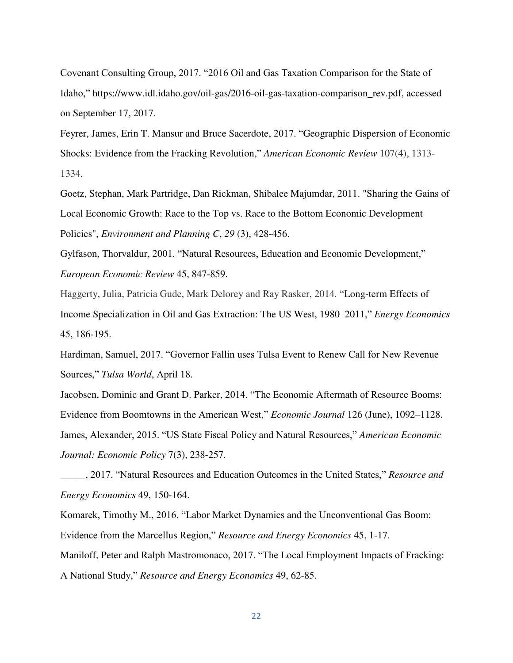Covenant Consulting Group, 2017. "2016 Oil and Gas Taxation Comparison for the State of Idaho," [https://www.idl.idaho.gov/oil-gas/2016-oil-gas-taxation-comparison\\_rev.pdf,](https://www.idl.idaho.gov/oil-gas/2016-oil-gas-taxation-comparison_rev.pdf) accessed on September 17, 2017.

Feyrer, James, Erin T. Mansur and Bruce Sacerdote, 2017. "Geographic Dispersion of Economic Shocks: Evidence from the Fracking Revolution," *American Economic Review* 107(4), 1313- 1334.

Goetz, Stephan, Mark Partridge, Dan Rickman, Shibalee Majumdar, 2011. "Sharing the Gains of Local Economic Growth: Race to the Top vs. Race to the Bottom Economic Development Policies", *Environment and Planning C*, *29* (3), 428-456.

Gylfason, Thorvaldur, 2001. "Natural Resources, Education and Economic Development," *European Economic Review* 45, 847-859.

Haggerty, Julia, Patricia Gude, Mark Delorey and Ray Rasker, 2014. "Long-term Effects of Income Specialization in Oil and Gas Extraction: The US West, 1980–2011," *Energy Economics* 45, 186-195.

Hardiman, Samuel, 2017. "Governor Fallin uses Tulsa Event to Renew Call for New Revenue Sources," *Tulsa World*, April 18.

Jacobsen, Dominic and Grant D. Parker, 2014. "The Economic Aftermath of Resource Booms: Evidence from Boomtowns in the American West," *Economic Journal* 126 (June), 1092–1128. James, Alexander, 2015. "US State Fiscal Policy and Natural Resources," *American Economic Journal: Economic Policy* 7(3), 238-257.

\_\_\_\_\_, 2017. "Natural Resources and Education Outcomes in the United States," *Resource and Energy Economics* 49, 150-164.

Komarek, Timothy M., 2016. "Labor Market Dynamics and the Unconventional Gas Boom: Evidence from the Marcellus Region," *Resource and Energy Economics* 45, 1-17. Maniloff, Peter and Ralph Mastromonaco, 2017. "The Local Employment Impacts of Fracking:

A National Study," *Resource and Energy Economics* 49, 62-85.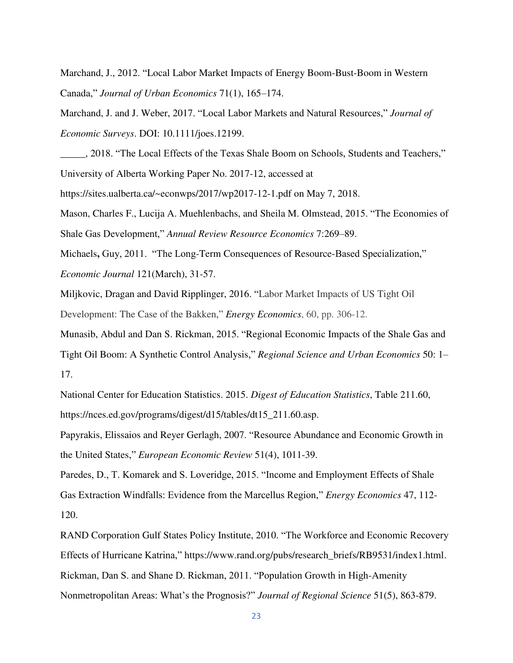Marchand, J., 2012. "Local Labor Market Impacts of Energy Boom-Bust-Boom in Western Canada," *Journal of Urban Economics* 71(1), 165–174.

Marchand, J. and J. Weber, 2017. "Local Labor Markets and Natural Resources," *Journal of Economic Surveys*. DOI: 10.1111/joes.12199.

\_\_\_\_\_, 2018. "The Local Effects of the Texas Shale Boom on Schools, Students and Teachers," University of Alberta Working Paper No. 2017-12, accessed at

https://sites.ualberta.ca/~econwps/2017/wp2017-12-1.pdf on May 7, 2018.

Mason, Charles F., Lucija A. Muehlenbachs, and Sheila M. Olmstead, 2015. "The Economies of Shale Gas Development," *Annual Review Resource Economics* 7:269–89.

Michaels**,** Guy, 2011. "The Long-Term Consequences of Resource-Based Specialization," *Economic Journal* 121(March), 31-57.

[Miljkovic, Dragan](javascript:__doLinkPostBack() and David [Ripplinger, 2016.](javascript:__doLinkPostBack() "Labor Market Impacts of US Tight Oil Development: The Case of the Bakken," *Energy Economics*, 60, pp. 306-12.

Munasib, Abdul and Dan S. Rickman, 2015. "Regional Economic Impacts of the Shale Gas and Tight Oil Boom: A Synthetic Control Analysis," *Regional Science and Urban Economics* 50: 1– 17.

National Center for Education Statistics. 2015. *Digest of Education Statistics*, Table 211.60, https://nces.ed.gov/programs/digest/d15/tables/dt15\_211.60.asp.

Papyrakis, Elissaios and Reyer Gerlagh, 2007. "Resource Abundance and Economic Growth in the United States," *European Economic Review* 51(4), 1011-39.

Paredes, D., T. Komarek and S. Loveridge, 2015. "Income and Employment Effects of Shale Gas Extraction Windfalls: Evidence from the Marcellus Region," *Energy Economics* 47, 112- 120.

RAND Corporation Gulf States Policy Institute, 2010. "The Workforce and Economic Recovery Effects of Hurricane Katrina," https://www.rand.org/pubs/research\_briefs/RB9531/index1.html. Rickman, Dan S. and Shane D. Rickman, 2011. "Population Growth in High-Amenity Nonmetropolitan Areas: What's the Prognosis?" *Journal of Regional Science* 51(5), 863-879.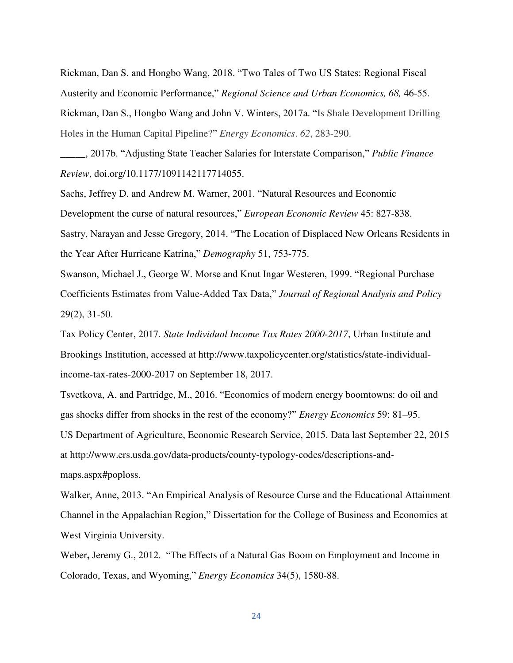Rickman, Dan S. and Hongbo Wang, 2018. "Two Tales of Two US States: Regional Fiscal Austerity and Economic Performance," *Regional Science and Urban Economics, 68,* 46-55. Rickman, Dan S., Hongbo Wang and John V. Winters, 2017a. "Is Shale Development Drilling Holes in the Human Capital Pipeline?" *Energy Economics*. *62*, 283-290.

\_\_\_\_\_, 2017b. "Adjusting State Teacher Salaries for Interstate Comparison," *Public Finance Review*, doi.org/10.1177/1091142117714055.

Sachs, Jeffrey D. and Andrew M. Warner, 2001. "Natural Resources and Economic Development the curse of natural resources," *European Economic Review* 45: 827-838. Sastry, Narayan and Jesse Gregory, 2014. "The Location of Displaced New Orleans Residents in the Year After Hurricane Katrina," *Demography* 51, 753-775.

Swanson, Michael J., George W. Morse and Knut Ingar Westeren, 1999. "Regional Purchase Coefficients Estimates from Value-Added Tax Data," *Journal of Regional Analysis and Policy* 29(2), 31-50.

Tax Policy Center, 2017. *State Individual Income Tax Rates 2000-2017*, Urban Institute and Brookings Institution, accessed at [http://www.taxpolicycenter.org/statistics/state-individual](http://www.taxpolicycenter.org/statistics/state-individual-income-tax-rates-2000-2017)[income-tax-rates-2000-2017](http://www.taxpolicycenter.org/statistics/state-individual-income-tax-rates-2000-2017) on September 18, 2017.

Tsvetkova, A. and Partridge, M., 2016. "Economics of modern energy boomtowns: do oil and gas shocks differ from shocks in the rest of the economy?" *Energy Economics* 59: 81–95.

US Department of Agriculture, Economic Research Service, 2015. Data last September 22, 2015 at http://www.ers.usda.gov/data-products/county-typology-codes/descriptions-andmaps.aspx#poploss.

Walker, Anne, 2013. "An Empirical Analysis of Resource Curse and the Educational Attainment Channel in the Appalachian Region," Dissertation for the College of Business and Economics at West Virginia University.

Weber**,** Jeremy G., 2012. "The Effects of a Natural Gas Boom on Employment and Income in Colorado, Texas, and Wyoming," *Energy Economics* 34(5), 1580-88.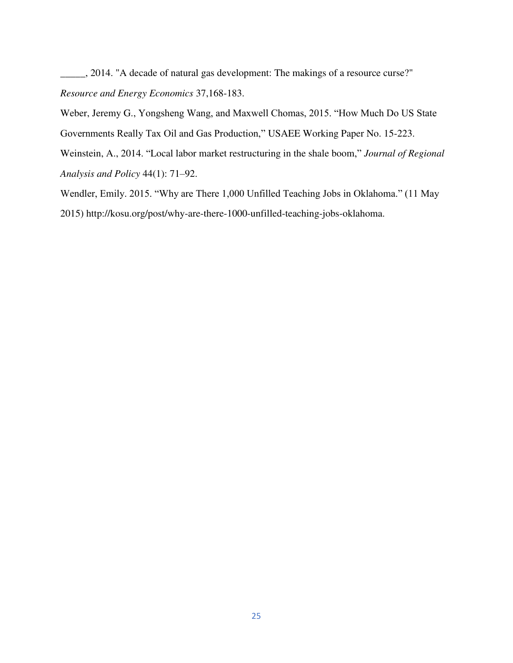\_\_\_\_\_, 2014. "A decade of natural gas development: The makings of a resource curse?" *Resource and Energy Economics* 37,168-183.

Weber, Jeremy G., Yongsheng Wang, and Maxwell Chomas, 2015. "How Much Do US State Governments Really Tax Oil and Gas Production," [USAEE Working Paper No. 15-223.](https://papers.ssrn.com/sol3/papers.cfm?abstract_id=2672076##)

Weinstein, A., 2014. "Local labor market restructuring in the shale boom," *Journal of Regional Analysis and Policy* 44(1): 71–92.

Wendler, Emily. 2015. "Why are There 1,000 Unfilled Teaching Jobs in Oklahoma." (11 May 2015) http://kosu.org/post/why-are-there-1000-unfilled-teaching-jobs-oklahoma.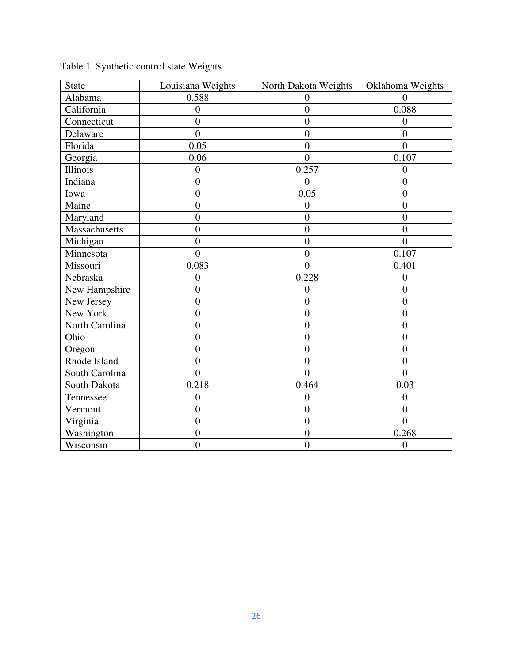| <b>State</b>   | Louisiana Weights | North Dakota Weights | Oklahoma Weights |
|----------------|-------------------|----------------------|------------------|
| Alabama        | 0.588             | 0                    | $\Omega$         |
| California     | $\boldsymbol{0}$  | $\overline{0}$       | 0.088            |
| Connecticut    | $\boldsymbol{0}$  | $\overline{0}$       | $\overline{0}$   |
| Delaware       | $\overline{0}$    | $\overline{0}$       | $\overline{0}$   |
| Florida        | 0.05              | $\overline{0}$       | $\overline{0}$   |
| Georgia        | 0.06              | $\theta$             | 0.107            |
| Illinois       | $\overline{0}$    | 0.257                | $\overline{0}$   |
| Indiana        | $\overline{0}$    | $\overline{0}$       | $\overline{0}$   |
| Iowa           | $\overline{0}$    | 0.05                 | $\overline{0}$   |
| Maine          | $\overline{0}$    | $\overline{0}$       | $\overline{0}$   |
| Maryland       | $\overline{0}$    | $\overline{0}$       | $\overline{0}$   |
| Massachusetts  | $\overline{0}$    | $\overline{0}$       | $\overline{0}$   |
| Michigan       | $\overline{0}$    | $\overline{0}$       | $\overline{0}$   |
| Minnesota      | $\overline{0}$    | $\overline{0}$       | 0.107            |
| Missouri       | 0.083             | $\Omega$             | 0.401            |
| Nebraska       | $\overline{0}$    | 0.228                | $\overline{0}$   |
| New Hampshire  | $\boldsymbol{0}$  | $\overline{0}$       | $\overline{0}$   |
| New Jersey     | $\overline{0}$    | $\overline{0}$       | $\overline{0}$   |
| New York       | $\overline{0}$    | $\overline{0}$       | $\overline{0}$   |
| North Carolina | $\overline{0}$    | $\overline{0}$       | $\overline{0}$   |
| Ohio           | $\overline{0}$    | $\overline{0}$       | $\overline{0}$   |
| Oregon         | $\boldsymbol{0}$  | $\boldsymbol{0}$     | $\boldsymbol{0}$ |
| Rhode Island   | $\overline{0}$    | $\overline{0}$       | $\overline{0}$   |
| South Carolina | $\overline{0}$    | $\overline{0}$       | $\overline{0}$   |
| South Dakota   | 0.218             | 0.464                | 0.03             |
| Tennessee      | $\overline{0}$    | $\overline{0}$       | $\overline{0}$   |
| Vermont        | $\boldsymbol{0}$  | $\overline{0}$       | $\overline{0}$   |
| Virginia       | $\overline{0}$    | $\overline{0}$       | $\overline{0}$   |
| Washington     | $\overline{0}$    | $\overline{0}$       | 0.268            |
| Wisconsin      | $\overline{0}$    | $\overline{0}$       | $\boldsymbol{0}$ |

Table 1. Synthetic control state Weights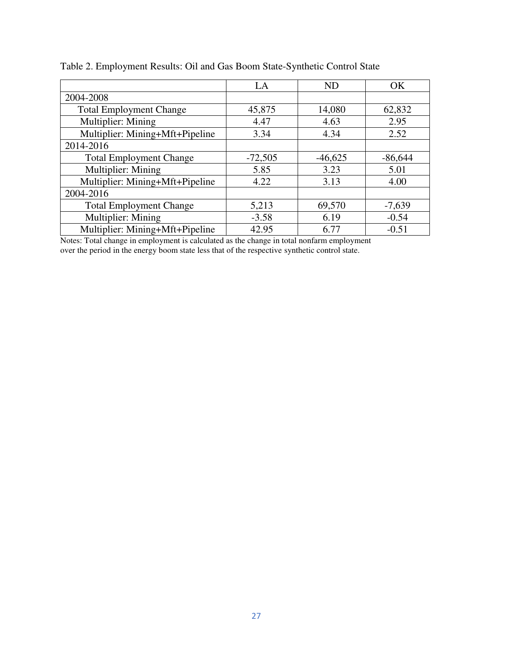|                                 | LA        | <b>ND</b> | <b>OK</b> |
|---------------------------------|-----------|-----------|-----------|
| 2004-2008                       |           |           |           |
| <b>Total Employment Change</b>  | 45,875    | 14,080    | 62,832    |
| Multiplier: Mining              | 4.47      | 4.63      | 2.95      |
| Multiplier: Mining+Mft+Pipeline | 3.34      | 4.34      | 2.52      |
| 2014-2016                       |           |           |           |
| <b>Total Employment Change</b>  | $-72,505$ | $-46,625$ | $-86,644$ |
| Multiplier: Mining              | 5.85      | 3.23      | 5.01      |
| Multiplier: Mining+Mft+Pipeline | 4.22      | 3.13      | 4.00      |
| 2004-2016                       |           |           |           |
| <b>Total Employment Change</b>  | 5,213     | 69,570    | $-7,639$  |
| Multiplier: Mining              | $-3.58$   | 6.19      | $-0.54$   |
| Multiplier: Mining+Mft+Pipeline | 42.95     | 6.77      | $-0.51$   |

Table 2. Employment Results: Oil and Gas Boom State-Synthetic Control State

Notes: Total change in employment is calculated as the change in total nonfarm employment over the period in the energy boom state less that of the respective synthetic control state.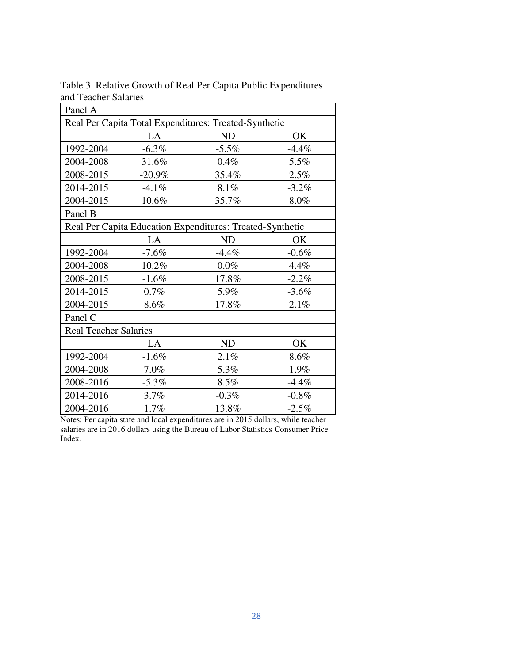| Panel A                                                   |          |           |          |  |  |
|-----------------------------------------------------------|----------|-----------|----------|--|--|
| Real Per Capita Total Expenditures: Treated-Synthetic     |          |           |          |  |  |
|                                                           | LA       | ND        | OK       |  |  |
| 1992-2004                                                 | $-6.3\%$ | $-5.5\%$  | $-4.4%$  |  |  |
| 2004-2008                                                 | 31.6%    | 0.4%      | 5.5%     |  |  |
| 2008-2015                                                 | $-20.9%$ | 35.4%     | 2.5%     |  |  |
| 2014-2015                                                 | $-4.1%$  | 8.1%      | $-3.2\%$ |  |  |
| 2004-2015                                                 | 10.6%    | 35.7%     | 8.0%     |  |  |
| Panel B                                                   |          |           |          |  |  |
| Real Per Capita Education Expenditures: Treated-Synthetic |          |           |          |  |  |
|                                                           | LA       | <b>ND</b> | OK       |  |  |
| 1992-2004                                                 | $-7.6%$  | $-4.4%$   | $-0.6%$  |  |  |
| 2004-2008                                                 | 10.2%    | $0.0\%$   | 4.4%     |  |  |
| 2008-2015                                                 | $-1.6%$  | 17.8%     | $-2.2\%$ |  |  |
| 2014-2015                                                 | $0.7\%$  | 5.9%      | $-3.6%$  |  |  |
| 2004-2015                                                 | 8.6%     | 17.8%     | 2.1%     |  |  |
| Panel C                                                   |          |           |          |  |  |
| <b>Real Teacher Salaries</b>                              |          |           |          |  |  |
|                                                           | LA       | ND        | OK       |  |  |
| 1992-2004                                                 | $-1.6%$  | 2.1%      | 8.6%     |  |  |
| 2004-2008                                                 | 7.0%     | 5.3%      | 1.9%     |  |  |
| 2008-2016                                                 | $-5.3\%$ | 8.5%      | $-4.4%$  |  |  |
| 2014-2016                                                 | 3.7%     | $-0.3%$   | $-0.8%$  |  |  |
| 2004-2016                                                 | 1.7%     | 13.8%     | $-2.5%$  |  |  |

Table 3. Relative Growth of Real Per Capita Public Expenditures and Teacher Salaries

Notes: Per capita state and local expenditures are in 2015 dollars, while teacher salaries are in 2016 dollars using the Bureau of Labor Statistics Consumer Price Index.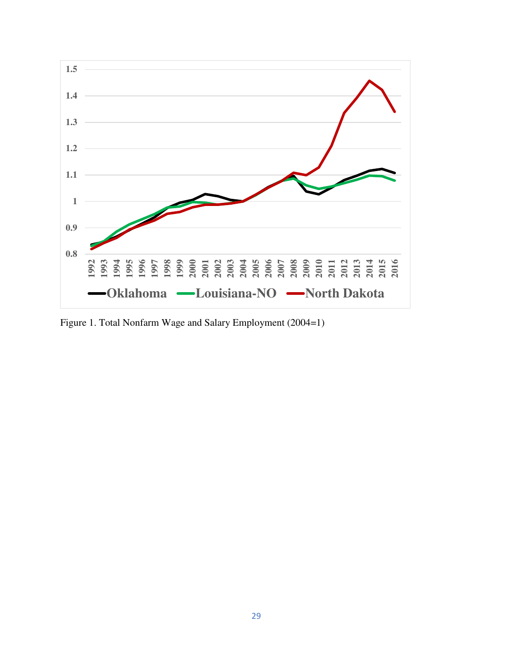

Figure 1. Total Nonfarm Wage and Salary Employment (2004=1)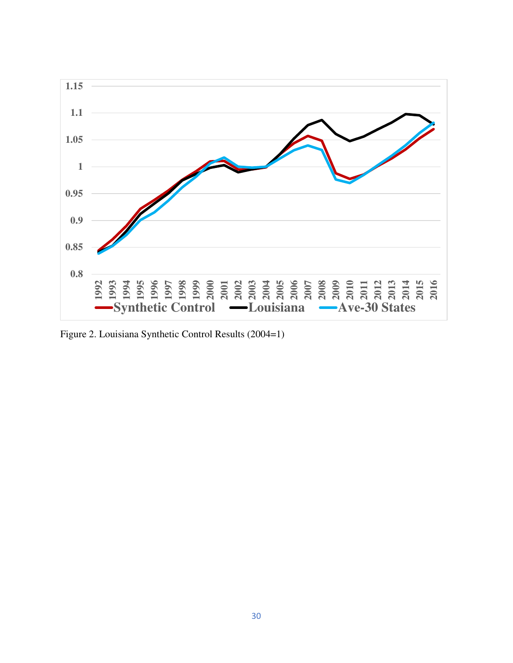

Figure 2. Louisiana Synthetic Control Results (2004=1)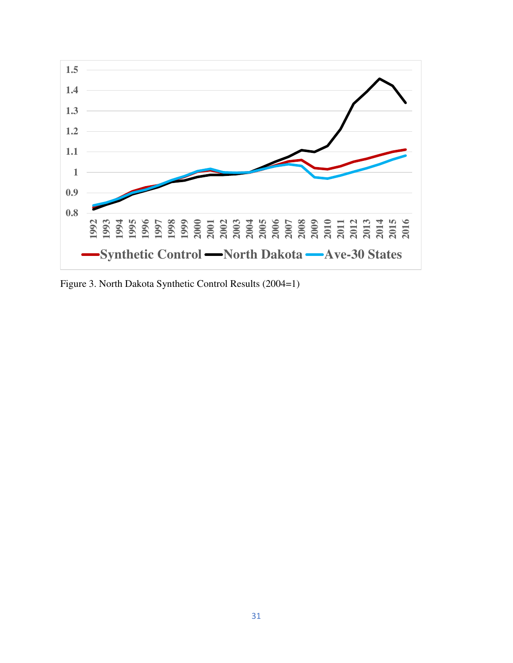

Figure 3. North Dakota Synthetic Control Results (2004=1)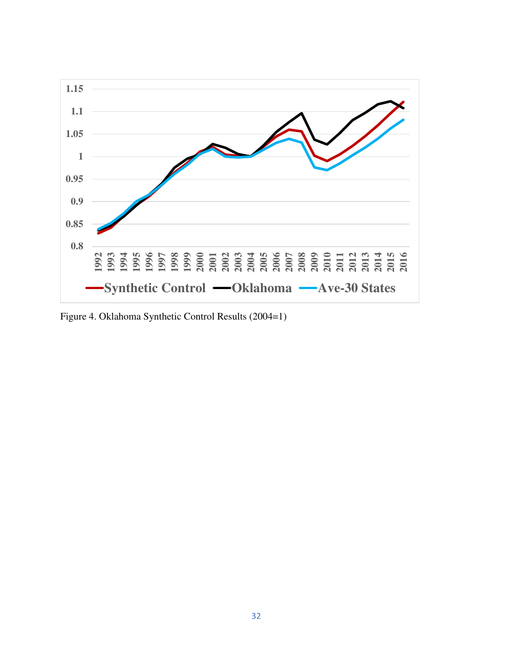

Figure 4. Oklahoma Synthetic Control Results (2004=1)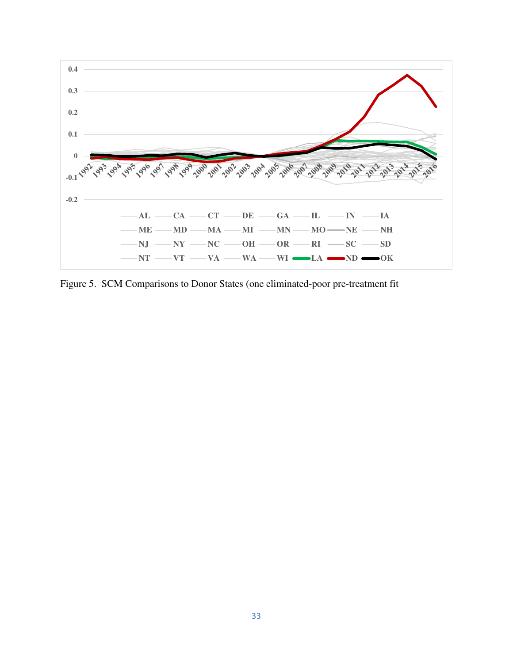

Figure 5. SCM Comparisons to Donor States (one eliminated-poor pre-treatment fit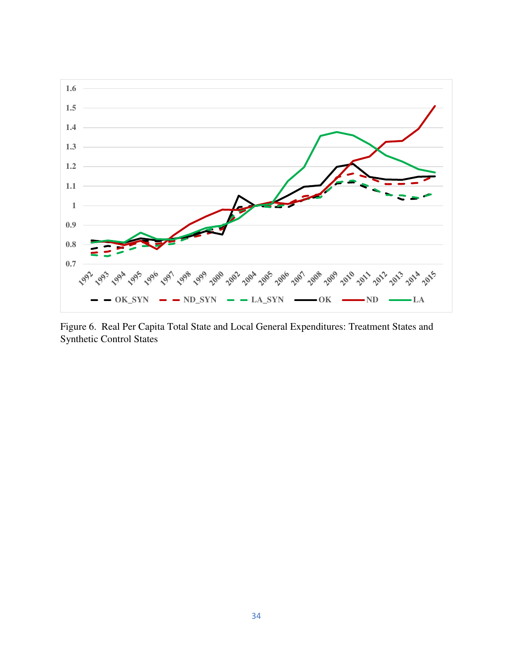

Figure 6. Real Per Capita Total State and Local General Expenditures: Treatment States and Synthetic Control States